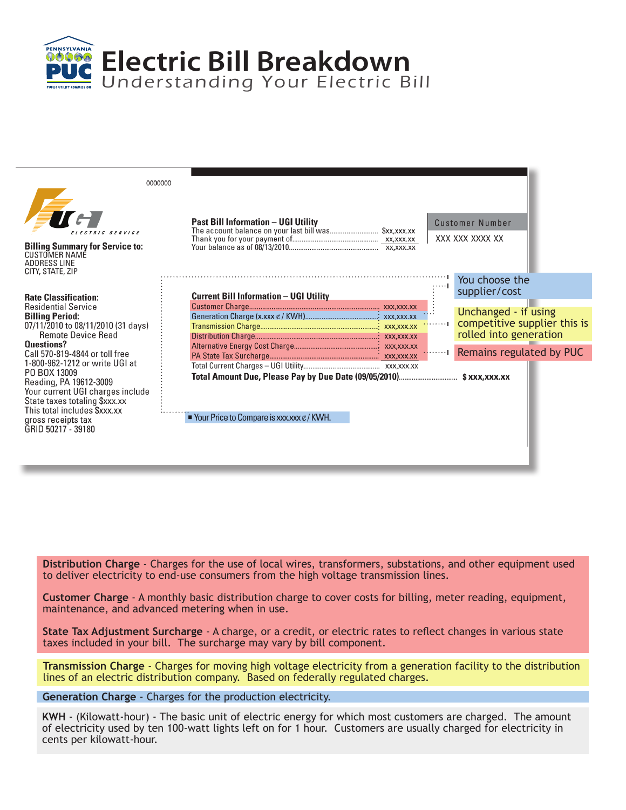**Electric Bill Breakdown** Understanding Your Electric Bill

PENNSYLVANIA  $90000$ 

| 0000000<br>ELECTRIC SERVICE<br><b>Billing Summary for Service to:</b><br><b>CUSTOMER NAME</b><br><b>ADDRESS LINE</b><br>CITY, STATE, ZIP                                                                                                                    | <b>Past Bill Information - UGI Utility</b><br>The account balance on your last bill was \$xx,xxx.xx |            | Customer Number<br>XXX XXX XXXX XX                                                                                |
|-------------------------------------------------------------------------------------------------------------------------------------------------------------------------------------------------------------------------------------------------------------|-----------------------------------------------------------------------------------------------------|------------|-------------------------------------------------------------------------------------------------------------------|
| <b>Rate Classification:</b><br><b>Residential Service</b><br><b>Billing Period:</b><br>07/11/2010 to 08/11/2010 (31 days)<br>Remote Device Read<br>Questions?                                                                                               | <b>Current Bill Information - UGI Utility</b>                                                       | $\cdots$   | You choose the<br>supplier/cost<br>Unchanged - if using<br>competitive supplier this is<br>rolled into generation |
| Call 570-819-4844 or toll free<br>1-800-962-1212 or write UGI at<br>PO BOX 13009<br>Reading, PA 19612-3009<br>Your current UGI charges include<br>State taxes totaling \$xxx.xx<br>This total includes \$xxx.xx<br>gross receipts tax<br>GRID 50217 - 39180 | $\ddot{ }$ Your Price to Compare is xxx.xxx $\epsilon$ / KWH.                                       | الروابينية | Remains regulated by PUC                                                                                          |

**Distribution Charge** - Charges for the use of local wires, transformers, substations, and other equipment used to deliver electricity to end-use consumers from the high voltage transmission lines.

**Customer Charge** - A monthly basic distribution charge to cover costs for billing, meter reading, equipment, maintenance, and advanced metering when in use.

**State Tax Adjustment Surcharge** - A charge, or a credit, or electric rates to reflect changes in various state taxes included in your bill. The surcharge may vary by bill component.

**Transmission Charge** - Charges for moving high voltage electricity from a generation facility to the distribution lines of an electric distribution company. Based on federally regulated charges.

**Generation Charge** - Charges for the production electricity.

**KWH** - (Kilowatt-hour) - The basic unit of electric energy for which most customers are charged. The amount of electricity used by ten 100-watt lights left on for 1 hour. Customers are usually charged for electricity in cents per kilowatt-hour.